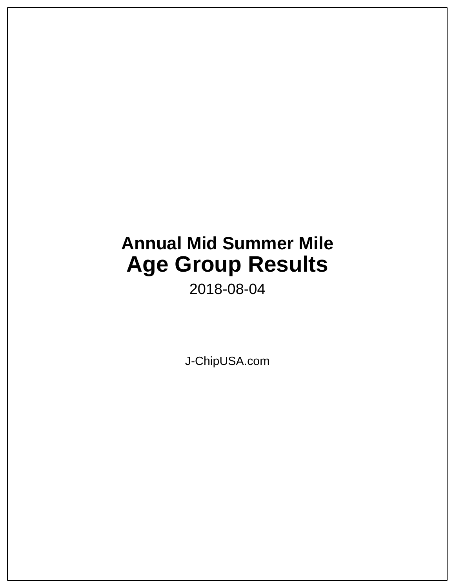# **Annual Mid Summer Mile Age Group Results**

2018-08-04

J-ChipUSA.com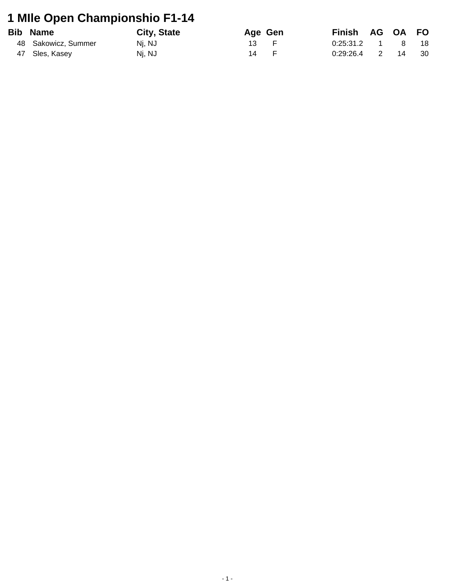# **1 MIle Open Championshio F1-14**

| <b>Bib Name</b>     | City, State | Age Gen | <b>Finish</b> |                | AG OA FO     |      |
|---------------------|-------------|---------|---------------|----------------|--------------|------|
| 48 Sakowicz, Summer | Ni. NJ      | 13 —    | 0:25:31.2     |                | $\mathsf{R}$ | - 18 |
| 47 Sles, Kasey      | Nj, NJ      | 14      | 0:29:26.4     | $\overline{2}$ | 14           | 30   |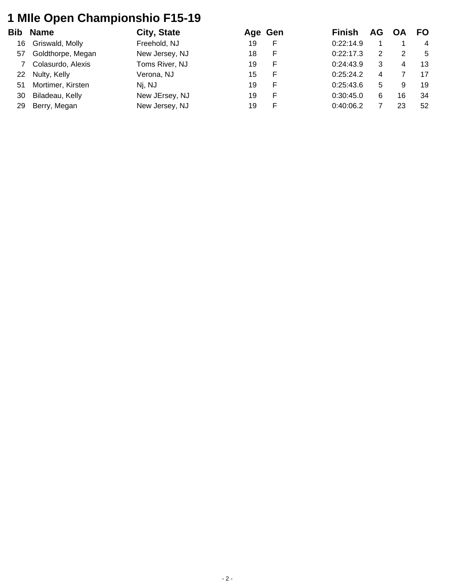### **1 MIle Open Championshio F15-19**

| Bib | <b>Name</b>       | City, State    | Age Gen |   | <b>Finish</b> | AG | OΑ | <b>FO</b>      |
|-----|-------------------|----------------|---------|---|---------------|----|----|----------------|
| 16  | Griswald, Molly   | Freehold, NJ   | 19      |   | 0:22:14.9     |    |    | $\overline{4}$ |
| 57  | Goldthorpe, Megan | New Jersey, NJ | 18      | F | 0:22:17.3     | 2  | 2  | -5             |
|     | Colasurdo, Alexis | Toms River, NJ | 19      | F | 0:24:43.9     | 3  | 4  | 13             |
| 22  | Nulty, Kelly      | Verona, NJ     | 15      |   | 0:25:24.2     | 4  |    | 17             |
| 51  | Mortimer, Kirsten | Nj, NJ         | 19      | F | 0:25:43.6     | 5. | 9  | 19             |
| 30  | Biladeau, Kelly   | New JErsey, NJ | 19      | F | 0:30:45.0     | 6  | 16 | 34             |
| 29  | Berry, Megan      | New Jersey, NJ | 19      |   | 0:40:06.2     |    | 23 | 52             |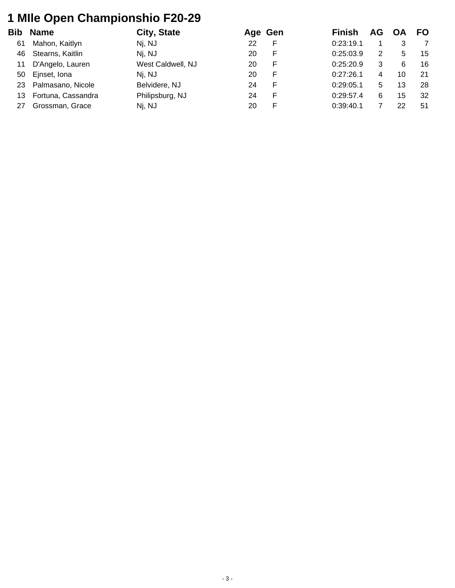### **1 MIle Open Championshio F20-29**

| Bib | <b>Name</b>        | City, State       |    | Age Gen | <b>Finish</b> | AG                   | OΑ | <b>FO</b> |
|-----|--------------------|-------------------|----|---------|---------------|----------------------|----|-----------|
| 61  | Mahon, Kaitlyn     | Nj, NJ            | 22 |         | 0:23:19.1     |                      | 3  |           |
| 46  | Stearns, Kaitlin   | Nj, NJ            | 20 | F       | 0:25:03.9     | $\mathbf{2}^{\circ}$ | 5  | 15        |
| 11  | D'Angelo, Lauren   | West Caldwell, NJ | 20 | F       | 0:25:20.9     | 3                    | 6  | 16        |
| 50  | Ejnset, Iona       | Nj, NJ            | 20 |         | 0:27:26.1     | 4                    | 10 | 21        |
| 23  | Palmasano, Nicole  | Belvidere, NJ     | 24 | F       | 0:29:05.1     | 5.                   | 13 | 28        |
| 13  | Fortuna, Cassandra | Philipsburg, NJ   | 24 | F       | 0:29:57.4     | 6                    | 15 | 32        |
| 27  | Grossman, Grace    | Nj, NJ            | 20 |         | 0:39:40.1     |                      | 22 | 51        |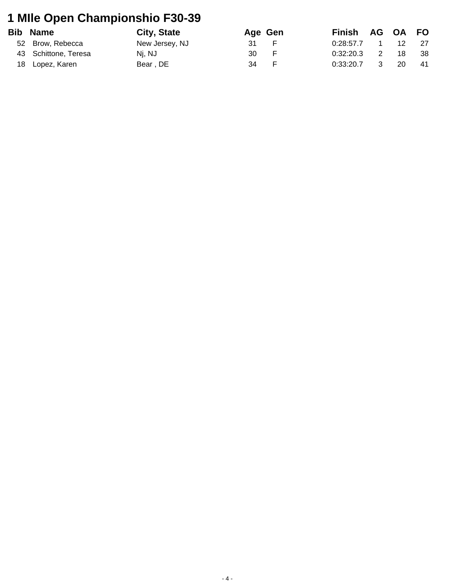# **1 MIle Open Championshio F30-39**

| <b>Bib Name</b>      | City, State    |      | Age Gen        | Finish AG OA FO |                |    |      |
|----------------------|----------------|------|----------------|-----------------|----------------|----|------|
| 52 Brow, Rebecca     | New Jersey, NJ | 31 F |                | $0.28.57.7$ 1   |                | 12 | 27   |
| 43 Schittone, Teresa | Nj, NJ         | 30   | $\overline{F}$ | 0.32:20.3       | $\overline{2}$ | 18 | - 38 |
| 18 Lopez, Karen      | Bear, DE       | 34   | - F            | 0:33:20.7       | $\mathbf{3}$   | 20 | -41  |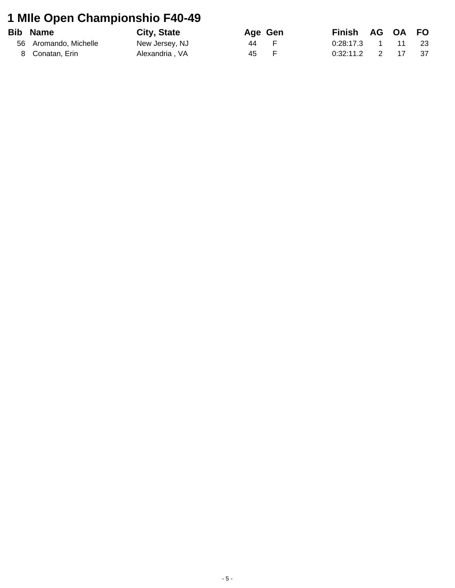### **1 MIle Open Championshio F40-49**

| <b>Bib Name</b>       | <b>City, State</b> | Age Gen | Finish AG OA FO     |  |      |
|-----------------------|--------------------|---------|---------------------|--|------|
| 56 Aromando, Michelle | New Jersey, NJ     | 44 F    | $0:28:17.3$ 1 11 23 |  |      |
| 8 Conatan, Erin       | Alexandria, VA     | 45 F    | $0:32:11.2$ 2 17    |  | - 37 |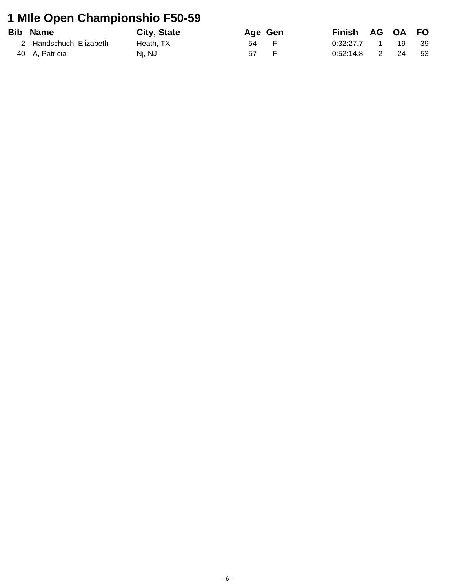### **1 MIle Open Championshio F50-59**

| <b>Bib Name</b>         | City, State | Age Gen | Finish AG OA FO |  |       |
|-------------------------|-------------|---------|-----------------|--|-------|
| 2 Handschuch. Elizabeth | Heath. TX   | 54 F    | $0.32:27.7$ 1   |  | 19 39 |
| 40 A, Patricia          | Nj, NJ      | 57 F    | 0:52:14.8 2     |  | 24 53 |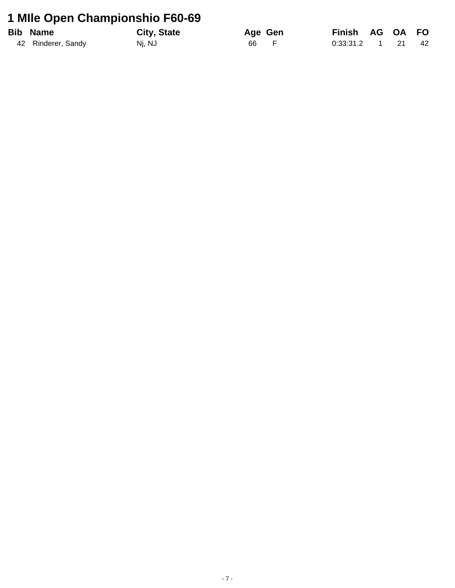### 1 Mile Open Championshio F60-69

| <b>Bib Name</b>    | City, State | Age Gen | Finish AG OA FO     |  |  |
|--------------------|-------------|---------|---------------------|--|--|
| 42 Rinderer, Sandy | Nj, NJ      | 66 F    | $0.33.31.2$ 1 21 42 |  |  |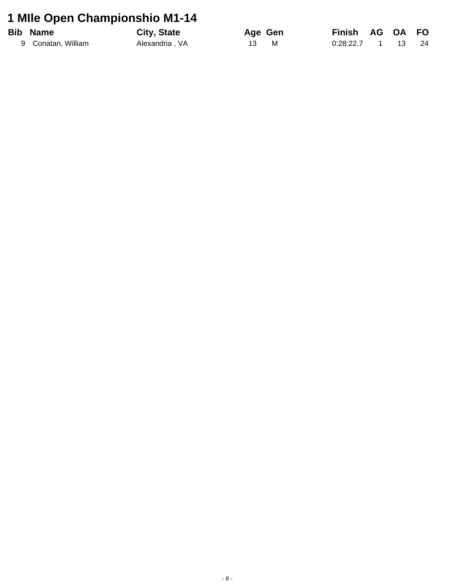### 1 Mile Open Championshio M1-14

| <b>Bib Name</b>    | <b>City, State</b> |      | Age Gen | Finish AG OA FO      |  |  |
|--------------------|--------------------|------|---------|----------------------|--|--|
| 9 Conatan, William | Alexandria, VA     | 13 M |         | 0:28:22.7  1  13  24 |  |  |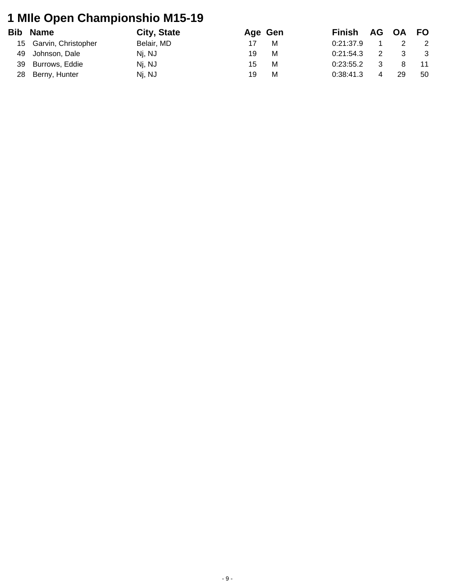### **1 MIle Open Championshio M15-19**

|    | <b>Bib Name</b>        | City, State |    | Age Gen | Finish    |                | AG OA FO |                |
|----|------------------------|-------------|----|---------|-----------|----------------|----------|----------------|
|    | 15 Garvin, Christopher | Belair, MD  |    | м       | 0:21:37.9 |                |          | $\overline{2}$ |
|    | 49 Johnson, Dale       | Nj, NJ      | 19 | м       | 0:21:54.3 | 2              | - 3      | $\mathbf{3}$   |
| 39 | Burrows, Eddie         | Nj, NJ      | 15 | м       | 0:23:55.2 |                |          |                |
| 28 | Berny, Hunter          | Nj, NJ      | 19 | м       | 0:38:41.3 | $\overline{4}$ | 29       | 50             |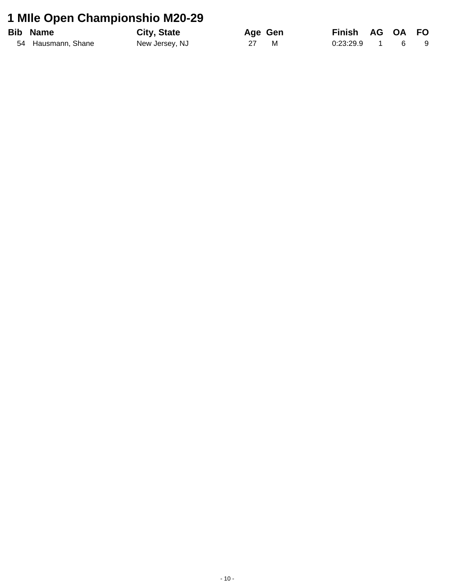### 1 Mile Open Championshio M20-29

| <b>Bib Name</b>    | City, State    | Age Gen | Finish AG OA FO |  |     |
|--------------------|----------------|---------|-----------------|--|-----|
| 54 Hausmann, Shane | New Jersey, NJ | 27 M    | $0.23.29.9$ 1 6 |  | - 9 |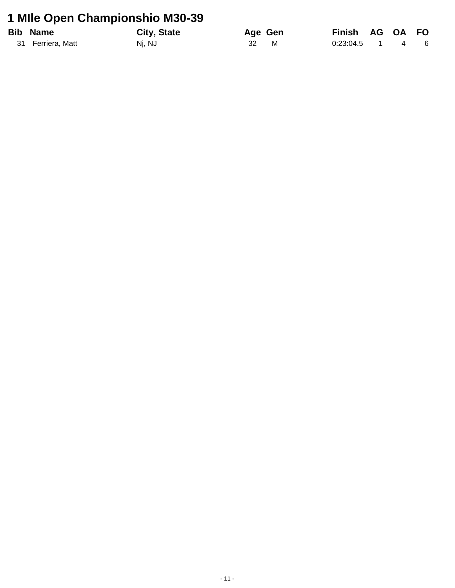### 1 Mile Open Championshio M30-39

| <b>Bib Name</b>   | <b>City, State</b> |     | Age Gen | Finish AG OA FO   |  |  |
|-------------------|--------------------|-----|---------|-------------------|--|--|
| 31 Ferriera, Matt | Nj, NJ             | -32 | M       | $0:23:04.5$ 1 4 6 |  |  |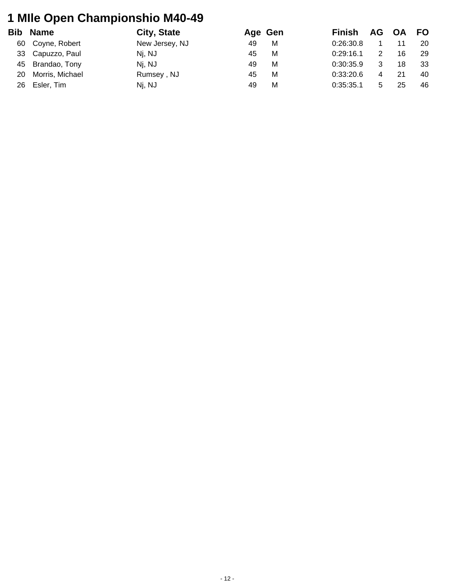### **1 MIle Open Championshio M40-49**

| Bib | <b>Name</b>      | City, State    | Age Gen | <b>Finish</b> |                | AG OA FO |    |
|-----|------------------|----------------|---------|---------------|----------------|----------|----|
| 60  | Coyne, Robert    | New Jersey, NJ | 49<br>м | 0.26.30.8     |                | 11       | 20 |
| 33  | Capuzzo, Paul    | Nj, NJ         | 45<br>м | 0:29:16.1     |                | 16       | 29 |
|     | 45 Brandao, Tony | Nj, NJ         | M<br>49 | 0:30:35.9     |                | 18       | 33 |
| 20  | Morris, Michael  | Rumsey, NJ     | м<br>45 | 0.33.20.6     | $\overline{4}$ | 21       | 40 |
| 26  | Esler, Tim       | Nj, NJ         | М<br>49 | 0:35:35.1     | 5              | 25       | 46 |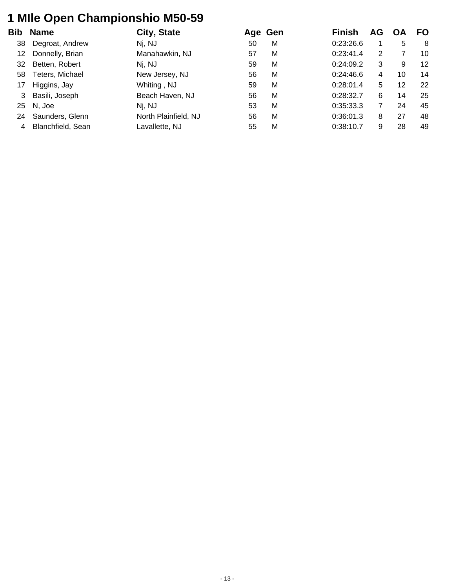### **1 MIle Open Championshio M50-59**

| <b>Name</b>       | City, State          |    |   | <b>Finish</b> | AG |    | FO. |
|-------------------|----------------------|----|---|---------------|----|----|-----|
| Degroat, Andrew   | Nj, NJ               | 50 | M | 0.23.26.6     |    | 5  | -8  |
| Donnelly, Brian   | Manahawkin, NJ       | 57 | M | 0:23:41.4     | 2  |    | 10  |
| Betten, Robert    | Nj, NJ               | 59 | M | 0:24:09.2     | 3  | 9  | 12  |
| Teters, Michael   | New Jersey, NJ       | 56 | M | 0.24:46.6     | 4  | 10 | 14  |
| Higgins, Jay      | Whiting, NJ          | 59 | M | 0:28:01.4     | 5  | 12 | 22  |
| Basili, Joseph    | Beach Haven, NJ      | 56 | M | 0:28:32.7     | 6  | 14 | 25  |
| N, Joe            | Nj, NJ               | 53 | M | 0:35:33.3     |    | 24 | 45  |
| Saunders, Glenn   | North Plainfield, NJ | 56 | M | 0:36:01.3     | 8  | 27 | 48  |
| Blanchfield, Sean | Lavallette, NJ       | 55 | M | 0:38:10.7     | 9  | 28 | 49  |
| 58<br>24          | 25                   |    |   | Age Gen       |    |    |     |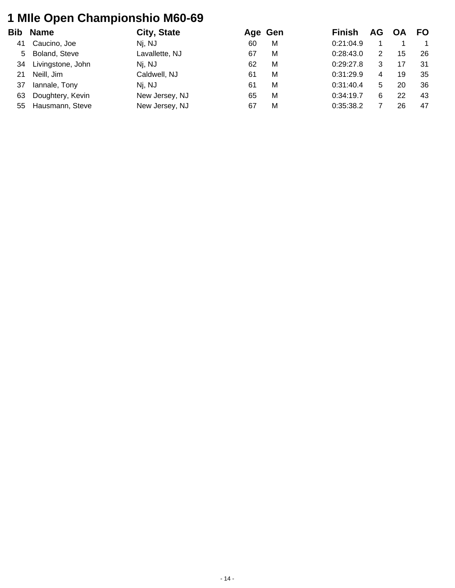### **1 MIle Open Championshio M60-69**

| Bib | <b>Name</b>       | City, State    |    | Age Gen | <b>Finish</b> | AG | <b>OA</b> | <b>FO</b> |
|-----|-------------------|----------------|----|---------|---------------|----|-----------|-----------|
| 41  | Caucino, Joe      | Nj, NJ         | 60 | M       | 0.21:04.9     |    |           |           |
| 5   | Boland, Steve     | Lavallette, NJ | 67 | M       | 0:28:43.0     | 2. | 15        | 26        |
| 34  | Livingstone, John | Nj, NJ         | 62 | M       | 0.29:27.8     | 3  |           | 31        |
| 21  | Neill, Jim        | Caldwell, NJ   | 61 | M       | 0:31:29.9     | 4  | 19        | 35        |
| 37  | lannale, Tony     | Nj, NJ         | 61 | M       | 0:31:40.4     | 5. | 20        | 36        |
| 63  | Doughtery, Kevin  | New Jersey, NJ | 65 | M       | 0:34:19.7     | 6  | 22        | 43        |
| 55  | Hausmann, Steve   | New Jersey, NJ | 67 | M       | 0:35:38.2     |    | 26        | 47        |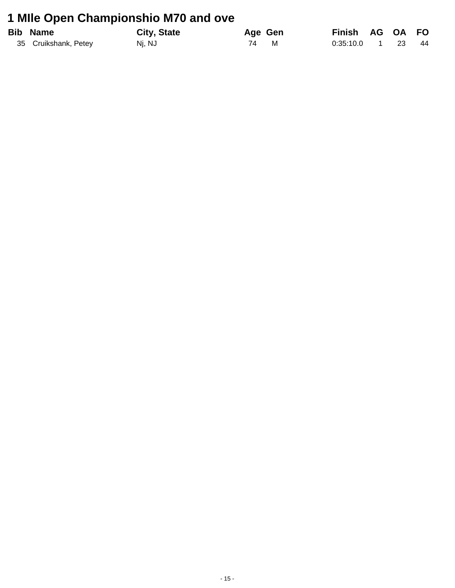### 1 Mile Open Championshio M70 and ove

| <b>Bib Name</b>      | <b>City, State</b> | Age Gen | Finish AG OA FO |           |    |
|----------------------|--------------------|---------|-----------------|-----------|----|
| 35 Cruikshank, Petey | Nj, NJ             | 74 M    | 0:35:10.0       | $1 \t 23$ | 44 |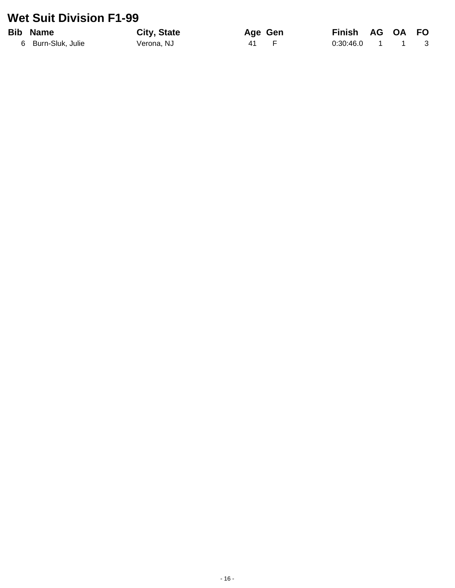#### **Wet Suit Division F1-99**

#### **Bib Name**

6 Burn-Sluk, Julie

City, State Verona, NJ

Age Gen  $\overline{41}$  $\mathsf F$ 

**Finish** AG OA FO  $0:30:46.0$  $\mathbf{1}$  $\sim$  1  $\mathbf{3}$